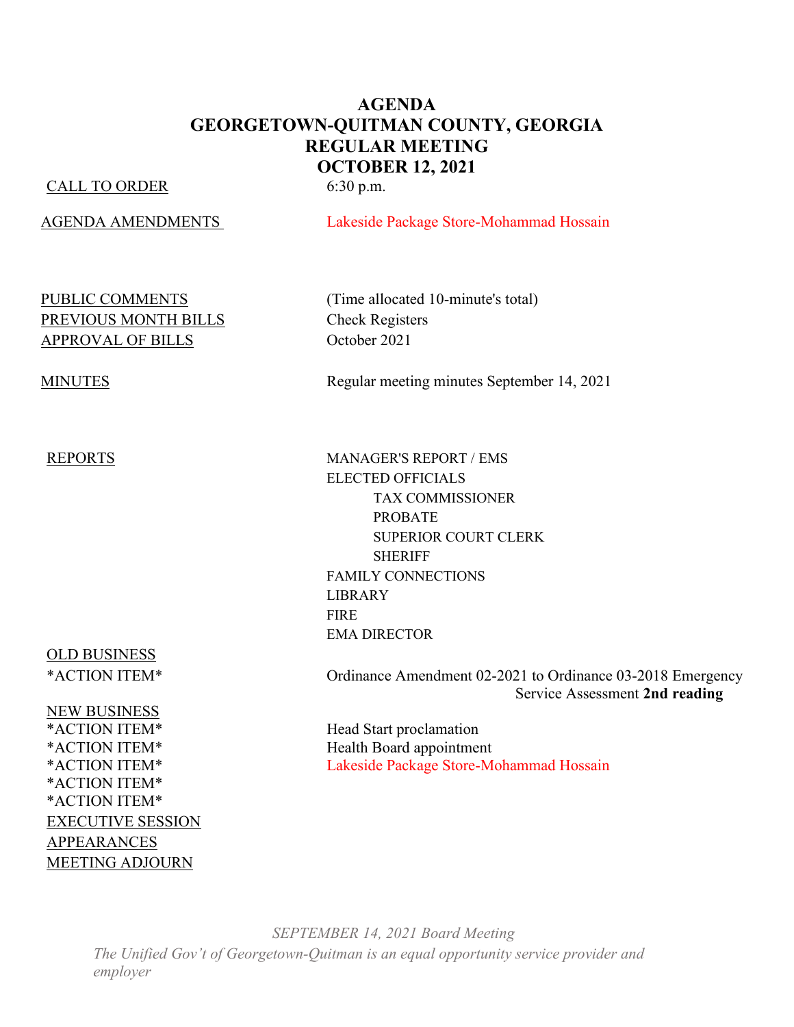#### **AGENDA GEORGETOWN-QUITMAN COUNTY, GEORGIA REGULAR MEETING OCTOBER 12, 2021**

#### CALL TO ORDER 6:30 p.m.

AGENDA AMENDMENTS Lakeside Package Store-Mohammad Hossain

# PREVIOUS MONTH BILLS<br>
Check Registers APPROVAL OF BILLS October 2021

OLD BUSINESS

**NEW BUSINESS<br>\*ACTION ITEM\*** \*ACTION ITEM\* \*ACTION ITEM\* EXECUTIVE SESSION APPEARANCES MEETING ADJOURN

PUBLIC COMMENTS (Time allocated 10-minute's total)

MINUTES Regular meeting minutes September 14, 2021

REPORTS MANAGER'S REPORT / EMS ELECTED OFFICIALS TAX COMMISSIONER PROBATE SUPERIOR COURT CLERK SHERIFF FAMILY CONNECTIONS LIBRARY FIRE EMA DIRECTOR

\*ACTION ITEM\* Ordinance Amendment 02-2021 to Ordinance 03-2018 Emergency Service Assessment **2nd reading**

Head Start proclamation \*ACTION ITEM\* Health Board appointment \*ACTION ITEM\* Lakeside Package Store-Mohammad Hossain

*SEPTEMBER 14, 2021 Board Meeting The Unified Gov't of Georgetown-Quitman is an equal opportunity service provider and employer*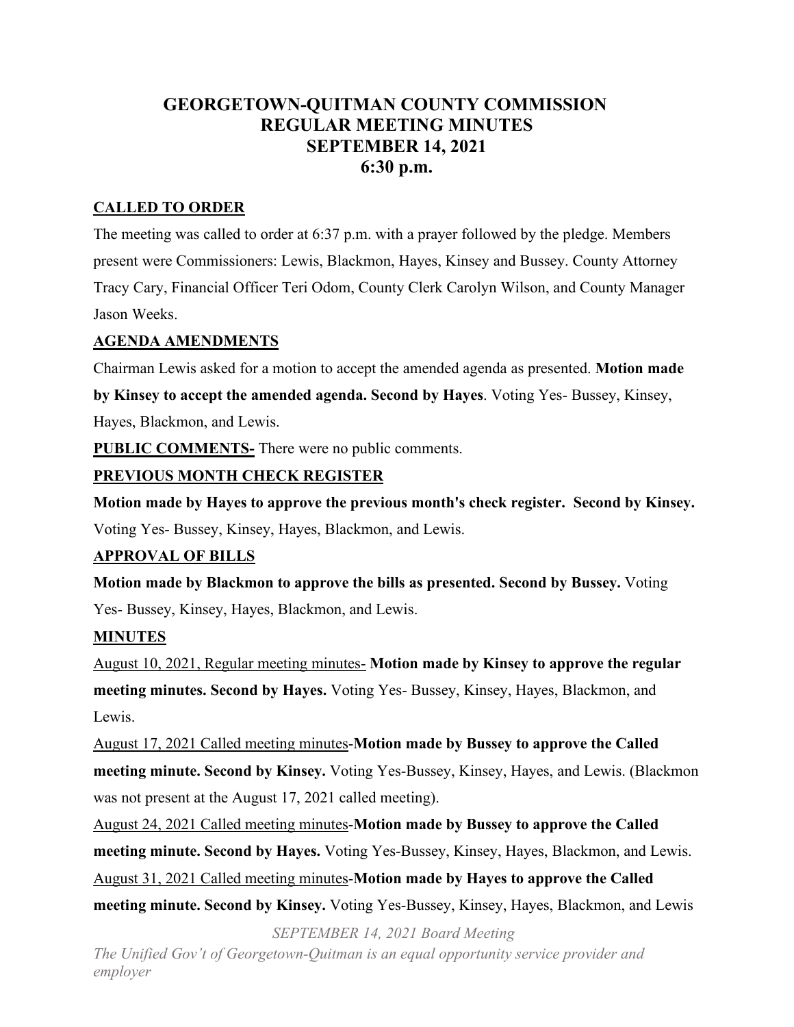### **GEORGETOWN-QUITMAN COUNTY COMMISSION REGULAR MEETING MINUTES SEPTEMBER 14, 2021 6:30 p.m.**

#### **CALLED TO ORDER**

The meeting was called to order at 6:37 p.m. with a prayer followed by the pledge. Members present were Commissioners: Lewis, Blackmon, Hayes, Kinsey and Bussey. County Attorney Tracy Cary, Financial Officer Teri Odom, County Clerk Carolyn Wilson, and County Manager Jason Weeks.

#### **AGENDA AMENDMENTS**

Chairman Lewis asked for a motion to accept the amended agenda as presented. **Motion made** 

**by Kinsey to accept the amended agenda. Second by Hayes**. Voting Yes- Bussey, Kinsey,

Hayes, Blackmon, and Lewis.

**PUBLIC COMMENTS**- There were no public comments.

#### **PREVIOUS MONTH CHECK REGISTER**

**Motion made by Hayes to approve the previous month's check register. Second by Kinsey.** Voting Yes- Bussey, Kinsey, Hayes, Blackmon, and Lewis.

#### **APPROVAL OF BILLS**

**Motion made by Blackmon to approve the bills as presented. Second by Bussey.** Voting Yes- Bussey, Kinsey, Hayes, Blackmon, and Lewis.

#### **MINUTES**

August 10, 2021, Regular meeting minutes- **Motion made by Kinsey to approve the regular meeting minutes. Second by Hayes.** Voting Yes- Bussey, Kinsey, Hayes, Blackmon, and Lewis.

August 17, 2021 Called meeting minutes-**Motion made by Bussey to approve the Called meeting minute. Second by Kinsey.** Voting Yes-Bussey, Kinsey, Hayes, and Lewis. (Blackmon was not present at the August 17, 2021 called meeting).

August 24, 2021 Called meeting minutes-**Motion made by Bussey to approve the Called meeting minute. Second by Hayes.** Voting Yes-Bussey, Kinsey, Hayes, Blackmon, and Lewis. August 31, 2021 Called meeting minutes-**Motion made by Hayes to approve the Called meeting minute. Second by Kinsey.** Voting Yes-Bussey, Kinsey, Hayes, Blackmon, and Lewis

*SEPTEMBER 14, 2021 Board Meeting*

*The Unified Gov't of Georgetown-Quitman is an equal opportunity service provider and employer*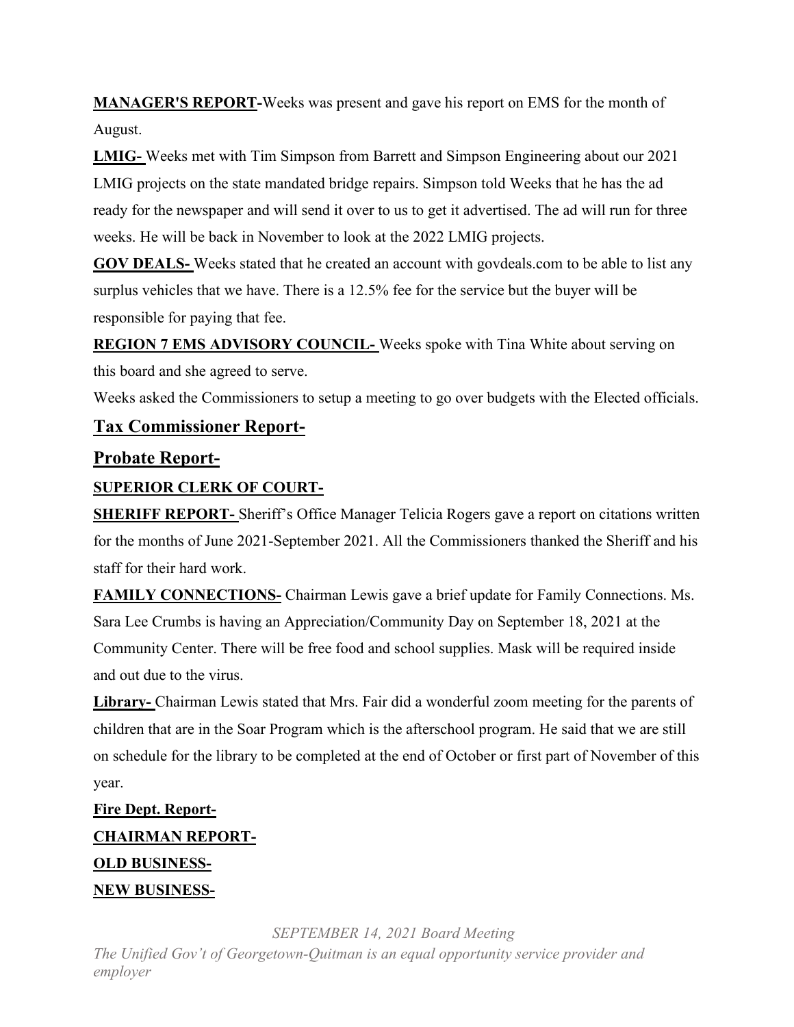**MANAGER'S REPORT-**Weeks was present and gave his report on EMS for the month of August.

**LMIG-** Weeks met with Tim Simpson from Barrett and Simpson Engineering about our 2021 LMIG projects on the state mandated bridge repairs. Simpson told Weeks that he has the ad ready for the newspaper and will send it over to us to get it advertised. The ad will run for three weeks. He will be back in November to look at the 2022 LMIG projects.

**GOV DEALS-** Weeks stated that he created an account with govdeals.com to be able to list any surplus vehicles that we have. There is a 12.5% fee for the service but the buyer will be responsible for paying that fee.

**REGION 7 EMS ADVISORY COUNCIL-** Weeks spoke with Tina White about serving on this board and she agreed to serve.

Weeks asked the Commissioners to setup a meeting to go over budgets with the Elected officials.

#### **Tax Commissioner Report-**

#### **Probate Report-**

#### **SUPERIOR CLERK OF COURT-**

**SHERIFF REPORT-** Sheriff's Office Manager Telicia Rogers gave a report on citations written for the months of June 2021-September 2021. All the Commissioners thanked the Sheriff and his staff for their hard work.

**FAMILY CONNECTIONS-** Chairman Lewis gave a brief update for Family Connections. Ms. Sara Lee Crumbs is having an Appreciation/Community Day on September 18, 2021 at the Community Center. There will be free food and school supplies. Mask will be required inside and out due to the virus.

**Library-** Chairman Lewis stated that Mrs. Fair did a wonderful zoom meeting for the parents of children that are in the Soar Program which is the afterschool program. He said that we are still on schedule for the library to be completed at the end of October or first part of November of this year.

## **Fire Dept. Report-CHAIRMAN REPORT-OLD BUSINESS-NEW BUSINESS-**

*SEPTEMBER 14, 2021 Board Meeting*

*The Unified Gov't of Georgetown-Quitman is an equal opportunity service provider and employer*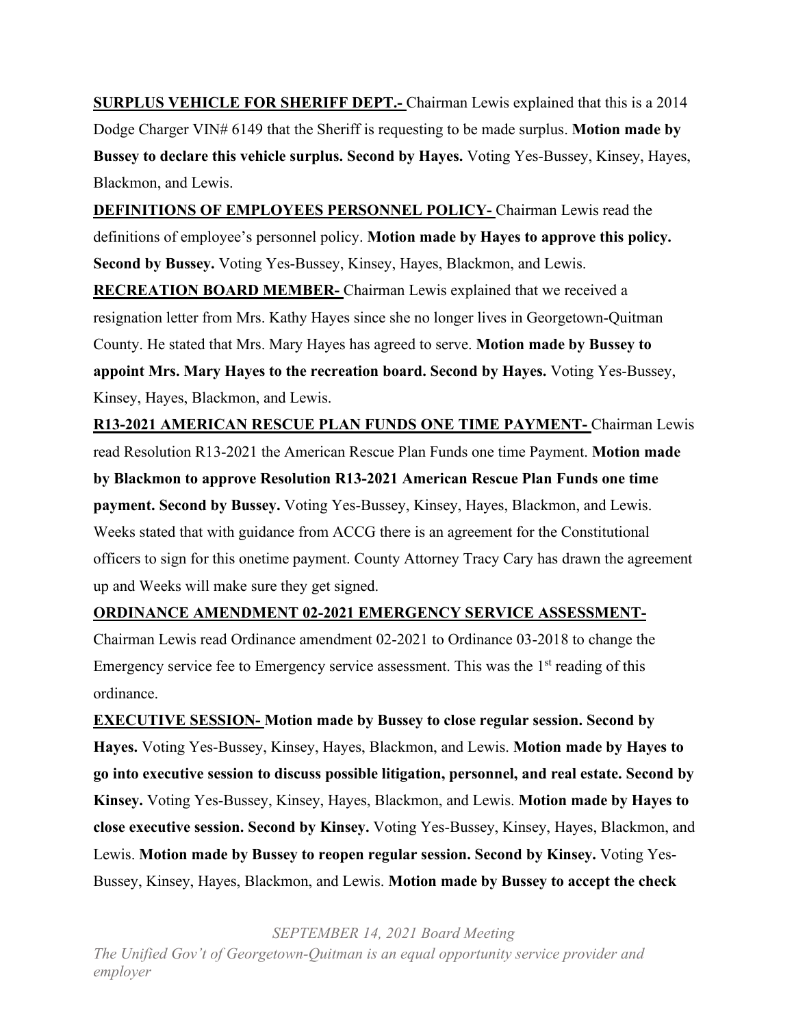**SURPLUS VEHICLE FOR SHERIFF DEPT.-** Chairman Lewis explained that this is a 2014 Dodge Charger VIN# 6149 that the Sheriff is requesting to be made surplus. **Motion made by Bussey to declare this vehicle surplus. Second by Hayes.** Voting Yes-Bussey, Kinsey, Hayes, Blackmon, and Lewis.

**DEFINITIONS OF EMPLOYEES PERSONNEL POLICY-** Chairman Lewis read the definitions of employee's personnel policy. **Motion made by Hayes to approve this policy. Second by Bussey.** Voting Yes-Bussey, Kinsey, Hayes, Blackmon, and Lewis.

**RECREATION BOARD MEMBER-** Chairman Lewis explained that we received a resignation letter from Mrs. Kathy Hayes since she no longer lives in Georgetown-Quitman County. He stated that Mrs. Mary Hayes has agreed to serve. **Motion made by Bussey to appoint Mrs. Mary Hayes to the recreation board. Second by Hayes.** Voting Yes-Bussey, Kinsey, Hayes, Blackmon, and Lewis.

**R13-2021 AMERICAN RESCUE PLAN FUNDS ONE TIME PAYMENT-** Chairman Lewis read Resolution R13-2021 the American Rescue Plan Funds one time Payment. **Motion made by Blackmon to approve Resolution R13-2021 American Rescue Plan Funds one time payment. Second by Bussey.** Voting Yes-Bussey, Kinsey, Hayes, Blackmon, and Lewis. Weeks stated that with guidance from ACCG there is an agreement for the Constitutional officers to sign for this onetime payment. County Attorney Tracy Cary has drawn the agreement up and Weeks will make sure they get signed.

**ORDINANCE AMENDMENT 02-2021 EMERGENCY SERVICE ASSESSMENT-**

Chairman Lewis read Ordinance amendment 02-2021 to Ordinance 03-2018 to change the Emergency service fee to Emergency service assessment. This was the  $1<sup>st</sup>$  reading of this ordinance.

**EXECUTIVE SESSION- Motion made by Bussey to close regular session. Second by Hayes.** Voting Yes-Bussey, Kinsey, Hayes, Blackmon, and Lewis. **Motion made by Hayes to go into executive session to discuss possible litigation, personnel, and real estate. Second by Kinsey.** Voting Yes-Bussey, Kinsey, Hayes, Blackmon, and Lewis. **Motion made by Hayes to close executive session. Second by Kinsey.** Voting Yes-Bussey, Kinsey, Hayes, Blackmon, and Lewis. **Motion made by Bussey to reopen regular session. Second by Kinsey.** Voting Yes-Bussey, Kinsey, Hayes, Blackmon, and Lewis. **Motion made by Bussey to accept the check** 

*SEPTEMBER 14, 2021 Board Meeting*

*The Unified Gov't of Georgetown-Quitman is an equal opportunity service provider and employer*